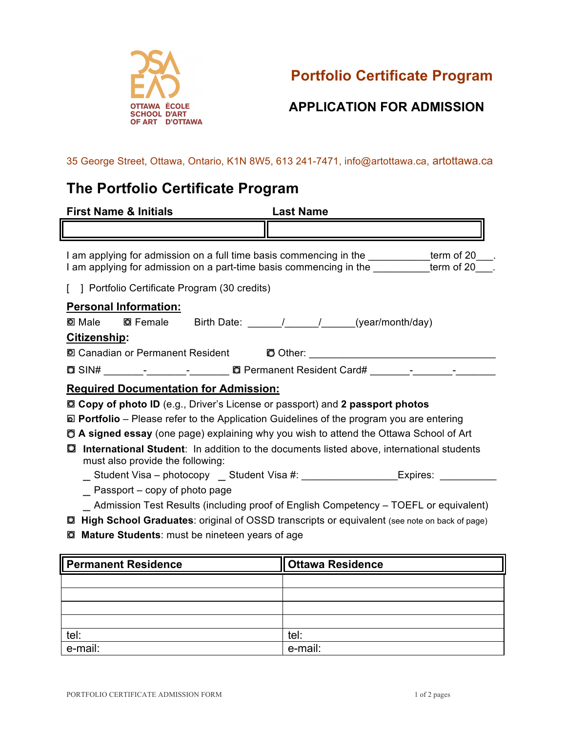

**Portfolio Certificate Program**

## **APPLICATION FOR ADMISSION**

35 George Street, Ottawa, Ontario, K1N 8W5, 613 241-7471, info@artottawa.ca, artottawa.ca

## **The Portfolio Certificate Program**

| <b>First Name &amp; Initials</b>                                                                                                  | <b>Last Name</b>                                                                                                  |  |  |
|-----------------------------------------------------------------------------------------------------------------------------------|-------------------------------------------------------------------------------------------------------------------|--|--|
|                                                                                                                                   |                                                                                                                   |  |  |
| I am applying for admission on a part-time basis commencing in the                                                                | I am applying for admission on a full time basis commencing in the ___________term of 20___.<br>term of $20$ ___. |  |  |
| ] Portfolio Certificate Program (30 credits)                                                                                      |                                                                                                                   |  |  |
| <b>Personal Information:</b><br><u>Citizenship:</u>                                                                               |                                                                                                                   |  |  |
| 2 Canadian or Permanent Resident CO Other: 2001 Canadian or Permanent Resident CO Other:                                          |                                                                                                                   |  |  |
|                                                                                                                                   |                                                                                                                   |  |  |
| <b>Required Documentation for Admission:</b>                                                                                      |                                                                                                                   |  |  |
| <b>Q Copy of photo ID</b> (e.g., Driver's License or passport) and 2 passport photos                                              |                                                                                                                   |  |  |
| $\Box$ Portfolio – Please refer to the Application Guidelines of the program you are entering                                     |                                                                                                                   |  |  |
| <b>D</b> A signed essay (one page) explaining why you wish to attend the Ottawa School of Art                                     |                                                                                                                   |  |  |
| International Student: In addition to the documents listed above, international students<br>O<br>must also provide the following: |                                                                                                                   |  |  |
|                                                                                                                                   | _ Student Visa - photocopy __ Student Visa #: ____________________Expires: _________                              |  |  |
| $\overline{\phantom{a}}$ Passport – copy of photo page                                                                            |                                                                                                                   |  |  |
| _ Admission Test Results (including proof of English Competency – TOEFL or equivalent)                                            |                                                                                                                   |  |  |
| High School Graduates: original of OSSD transcripts or equivalent (see note on back of page)<br>O                                 |                                                                                                                   |  |  |
| Mature Students: must be nineteen years of age<br>Q                                                                               |                                                                                                                   |  |  |

| <b>Permanent Residence</b> | <b>Ottawa Residence</b> |
|----------------------------|-------------------------|
|                            |                         |
|                            |                         |
|                            |                         |
|                            |                         |
| tel:                       | tel:                    |
| e-mail:                    | e-mail:                 |